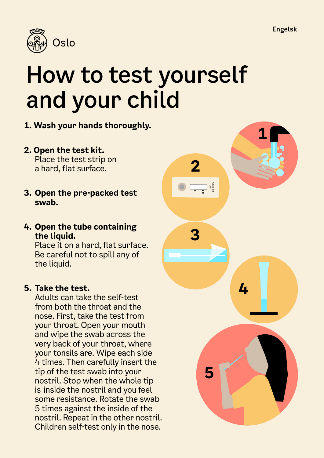

## How to test yourself and your child

## **1. Wash your hands thoroughly.**

**2. Open the test kit.**

Place the test strip on a hard, flat surface.

- **3. Open the pre-packed test swab.**
- **4. Open the tube containing the liquid.**

Place it on a hard, flat surface. Be careful not to spill any of the liquid.

## **5. Take the test.**

Adults can take the self-test from both the throat and the nose. First, take the test from your throat. Open your mouth and wipe the swab across the very back of your throat, where your tonsils are. Wipe each side 4 times. Then carefully insert the tip of the test swab into your nostril. Stop when the whole tip is inside the nostril and you feel some resistance. Rotate the swab 5 times against the inside of the nostril. Repeat in the other nostril. Children self-test only in the nose.